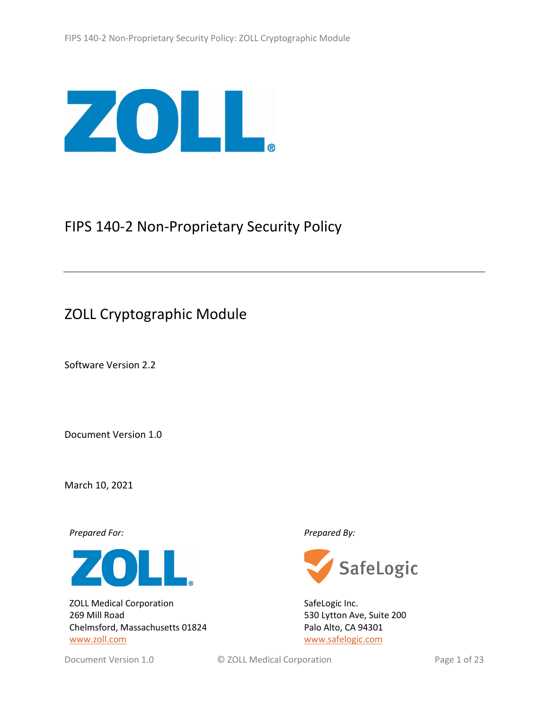

# FIPS 140-2 Non-Proprietary Security Policy

# ZOLL Cryptographic Module

Software Version 2.2

Document Version 1.0

March 10, 2021

*Prepared For: Prepared By:*



ZOLL Medical Corporation 269 Mill Road Chelmsford, Massachusetts 01824 [www.zoll.com](http://www.zoll.com/)



SafeLogic Inc. 530 Lytton Ave, Suite 200 Palo Alto, CA 94301 [www.safelogic.com](http://www.safelogic.com/)

Document Version 1.0 **CALL Medical Corporation CALL Medical Corporation Page 1 of 23**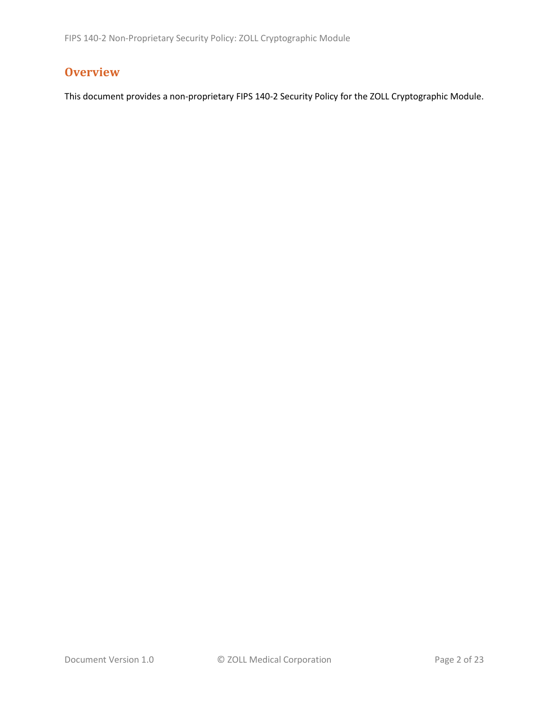# **Overview**

This document provides a non-proprietary FIPS 140-2 Security Policy for the ZOLL Cryptographic Module.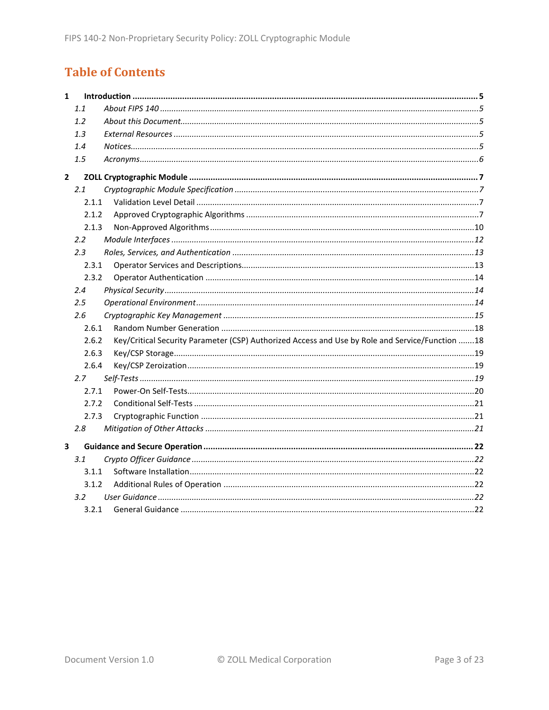# **Table of Contents**

| $\mathbf{1}$ |                  |                                                                                                 |
|--------------|------------------|-------------------------------------------------------------------------------------------------|
|              | 1.1              |                                                                                                 |
|              | 1.2              |                                                                                                 |
|              | 1.3              |                                                                                                 |
|              | 1.4              |                                                                                                 |
|              | 1.5              |                                                                                                 |
| $\mathbf{2}$ |                  |                                                                                                 |
|              | 2.1              |                                                                                                 |
|              | 2.1.1            |                                                                                                 |
|              | 2.1.2            |                                                                                                 |
|              | 2.1.3            |                                                                                                 |
|              | $2.2\phantom{0}$ |                                                                                                 |
|              | 2.3              |                                                                                                 |
|              | 2.3.1            |                                                                                                 |
|              | 2.3.2            |                                                                                                 |
|              | 2.4              |                                                                                                 |
|              | 2.5              |                                                                                                 |
|              | 2.6              |                                                                                                 |
|              | 2.6.1            |                                                                                                 |
|              | 2.6.2            | Key/Critical Security Parameter (CSP) Authorized Access and Use by Role and Service/Function 18 |
|              | 2.6.3            |                                                                                                 |
|              | 2.6.4            |                                                                                                 |
|              | 2.7              |                                                                                                 |
|              | 2.7.1            |                                                                                                 |
|              | 2.7.2            |                                                                                                 |
|              | 2.7.3            |                                                                                                 |
|              | 2.8              |                                                                                                 |
| 3            |                  |                                                                                                 |
|              | 3.1              |                                                                                                 |
|              | 3.1.1            |                                                                                                 |
|              | 3.1.2            |                                                                                                 |
|              | 3.2 <sub>2</sub> |                                                                                                 |
|              | 3.2.1            |                                                                                                 |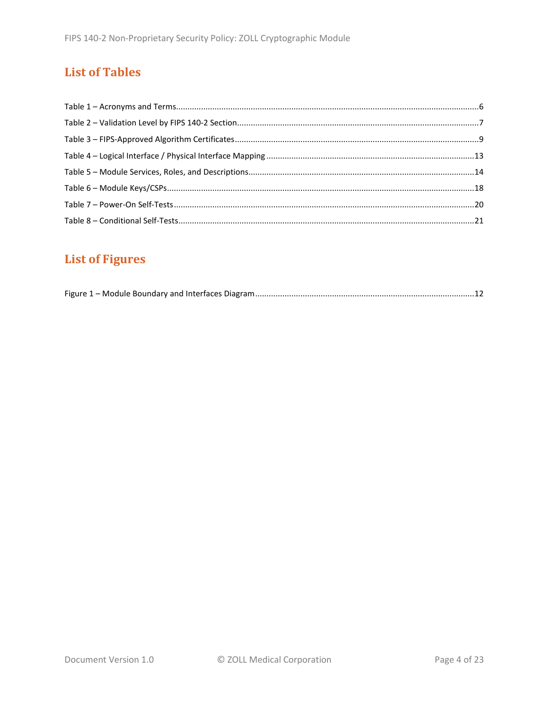# **List of Tables**

# **List of Figures**

|--|--|--|--|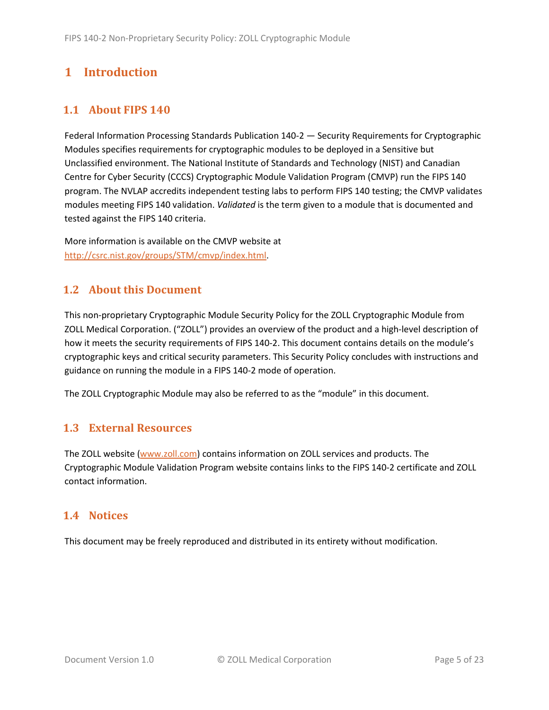# <span id="page-4-0"></span>**1 Introduction**

# <span id="page-4-1"></span>**1.1 About FIPS 140**

Federal Information Processing Standards Publication 140-2 — Security Requirements for Cryptographic Modules specifies requirements for cryptographic modules to be deployed in a Sensitive but Unclassified environment. The National Institute of Standards and Technology (NIST) and Canadian Centre for Cyber Security (CCCS) Cryptographic Module Validation Program (CMVP) run the FIPS 140 program. The NVLAP accredits independent testing labs to perform FIPS 140 testing; the CMVP validates modules meeting FIPS 140 validation. *Validated* is the term given to a module that is documented and tested against the FIPS 140 criteria.

More information is available on the CMVP website at [http://csrc.nist.gov/groups/STM/cmvp/index.html.](http://csrc.nist.gov/groups/STM/cmvp/index.html)

# <span id="page-4-2"></span>**1.2 About this Document**

This non-proprietary Cryptographic Module Security Policy for the ZOLL Cryptographic Module from ZOLL Medical Corporation. ("ZOLL") provides an overview of the product and a high-level description of how it meets the security requirements of FIPS 140-2. This document contains details on the module's cryptographic keys and critical security parameters. This Security Policy concludes with instructions and guidance on running the module in a FIPS 140-2 mode of operation.

The ZOLL Cryptographic Module may also be referred to as the "module" in this document.

## <span id="page-4-3"></span>**1.3 External Resources**

The ZOLL website [\(www.zoll.com\)](http://www.zoll.com/) contains information on ZOLL services and products. The Cryptographic Module Validation Program website contains links to the FIPS 140-2 certificate and ZOLL contact information.

### <span id="page-4-4"></span>**1.4 Notices**

This document may be freely reproduced and distributed in its entirety without modification.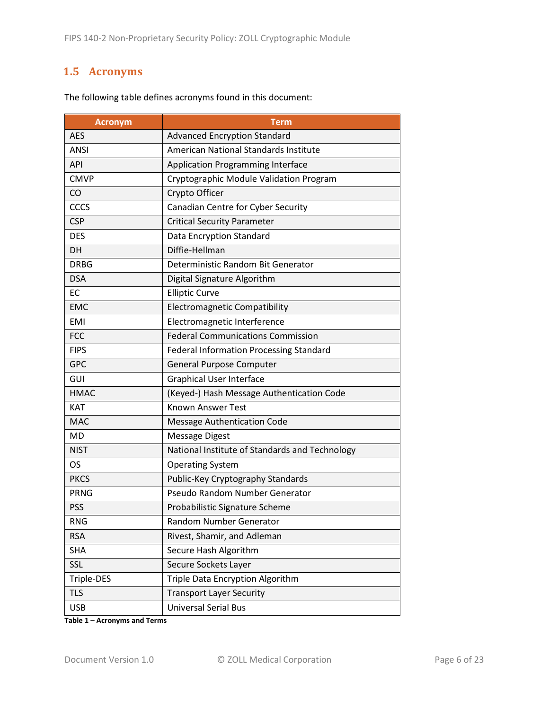# <span id="page-5-0"></span>**1.5 Acronyms**

| <b>Acronym</b> | <b>Term</b>                                    |
|----------------|------------------------------------------------|
| <b>AES</b>     | <b>Advanced Encryption Standard</b>            |
| <b>ANSI</b>    | American National Standards Institute          |
| <b>API</b>     | <b>Application Programming Interface</b>       |
| <b>CMVP</b>    | Cryptographic Module Validation Program        |
| CO             | Crypto Officer                                 |
| CCCS           | Canadian Centre for Cyber Security             |
| <b>CSP</b>     | <b>Critical Security Parameter</b>             |
| <b>DES</b>     | <b>Data Encryption Standard</b>                |
| DH             | Diffie-Hellman                                 |
| <b>DRBG</b>    | Deterministic Random Bit Generator             |
| <b>DSA</b>     | Digital Signature Algorithm                    |
| EC             | <b>Elliptic Curve</b>                          |
| <b>EMC</b>     | Electromagnetic Compatibility                  |
| <b>EMI</b>     | Electromagnetic Interference                   |
| <b>FCC</b>     | <b>Federal Communications Commission</b>       |
| <b>FIPS</b>    | <b>Federal Information Processing Standard</b> |
| <b>GPC</b>     | <b>General Purpose Computer</b>                |
| GUI            | <b>Graphical User Interface</b>                |
| <b>HMAC</b>    | (Keyed-) Hash Message Authentication Code      |
| <b>KAT</b>     | <b>Known Answer Test</b>                       |
| <b>MAC</b>     | <b>Message Authentication Code</b>             |
| <b>MD</b>      | <b>Message Digest</b>                          |
| <b>NIST</b>    | National Institute of Standards and Technology |
| OS             | <b>Operating System</b>                        |
| <b>PKCS</b>    | Public-Key Cryptography Standards              |
| <b>PRNG</b>    | Pseudo Random Number Generator                 |
| <b>PSS</b>     | Probabilistic Signature Scheme                 |
| <b>RNG</b>     | Random Number Generator                        |
| <b>RSA</b>     | Rivest, Shamir, and Adleman                    |
| <b>SHA</b>     | Secure Hash Algorithm                          |
| SSL            | Secure Sockets Layer                           |
| Triple-DES     | Triple Data Encryption Algorithm               |
| <b>TLS</b>     | <b>Transport Layer Security</b>                |
| <b>USB</b>     | <b>Universal Serial Bus</b>                    |

The following table defines acronyms found in this document:

**Table 1 – Acronyms and Terms**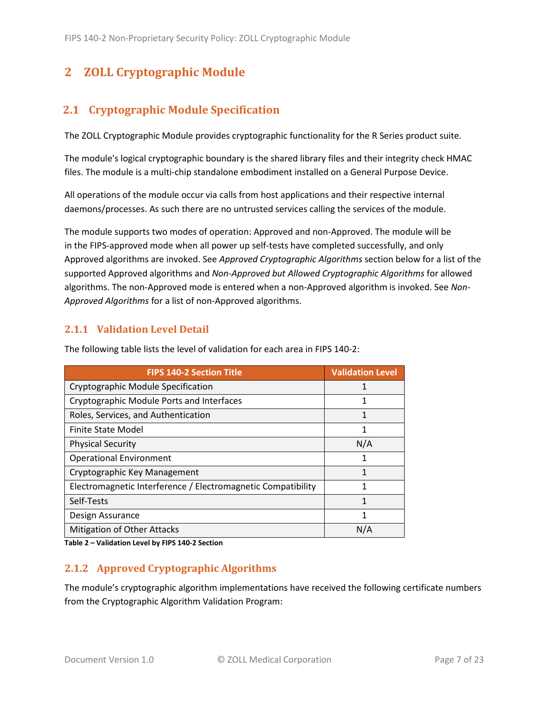# <span id="page-6-0"></span>**2 ZOLL Cryptographic Module**

# <span id="page-6-1"></span>**2.1 Cryptographic Module Specification**

The ZOLL Cryptographic Module provides cryptographic functionality for the R Series product suite.

The module's logical cryptographic boundary is the shared library files and their integrity check HMAC files. The module is a multi-chip standalone embodiment installed on a General Purpose Device.

All operations of the module occur via calls from host applications and their respective internal daemons/processes. As such there are no untrusted services calling the services of the module.

The module supports two modes of operation: Approved and non-Approved. The module will be in the FIPS-approved mode when all power up self-tests have completed successfully, and only Approved algorithms are invoked. See *Approved Cryptographic Algorithms* section below for a list of the supported Approved algorithms and *Non-Approved but Allowed Cryptographic Algorithms* for allowed algorithms. The non-Approved mode is entered when a non-Approved algorithm is invoked. See *Non-Approved Algorithms* for a list of non-Approved algorithms.

### <span id="page-6-2"></span>**2.1.1 Validation Level Detail**

| <b>FIPS 140-2 Section Title</b>                              | <b>Validation Level</b> |
|--------------------------------------------------------------|-------------------------|
| Cryptographic Module Specification                           |                         |
| Cryptographic Module Ports and Interfaces                    | 1                       |
| Roles, Services, and Authentication                          | 1                       |
| <b>Finite State Model</b>                                    | 1                       |
| <b>Physical Security</b>                                     | N/A                     |
| <b>Operational Environment</b>                               | 1                       |
| Cryptographic Key Management                                 | 1                       |
| Electromagnetic Interference / Electromagnetic Compatibility | 1                       |
| Self-Tests                                                   | 1                       |
| Design Assurance                                             | 1                       |
| Mitigation of Other Attacks                                  | N/A                     |

The following table lists the level of validation for each area in FIPS 140-2:

**Table 2 – Validation Level by FIPS 140-2 Section**

### <span id="page-6-3"></span>**2.1.2 Approved Cryptographic Algorithms**

The module's cryptographic algorithm implementations have received the following certificate numbers from the Cryptographic Algorithm Validation Program: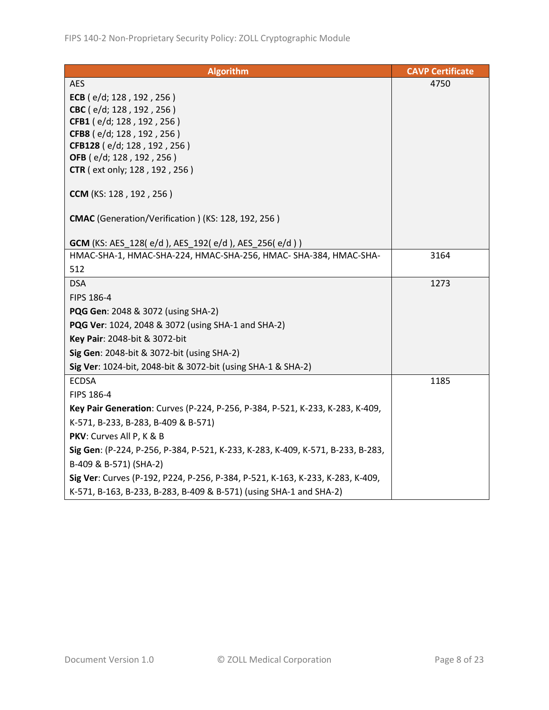| <b>Algorithm</b>                                                                | <b>CAVP Certificate</b> |
|---------------------------------------------------------------------------------|-------------------------|
| <b>AES</b>                                                                      | 4750                    |
| ECB ( $e/d$ ; 128, 192, 256)                                                    |                         |
| CBC (e/d; 128, 192, 256)                                                        |                         |
| CFB1 (e/d; 128, 192, 256)                                                       |                         |
| CFB8 (e/d; 128, 192, 256)                                                       |                         |
| CFB128 (e/d; 128, 192, 256)                                                     |                         |
| OFB (e/d; 128, 192, 256)                                                        |                         |
| CTR (ext only; 128, 192, 256)                                                   |                         |
| <b>CCM</b> (KS: 128, 192, 256)                                                  |                         |
| CMAC (Generation/Verification) (KS: 128, 192, 256)                              |                         |
| <b>GCM</b> (KS: AES_128(e/d), AES_192(e/d), AES_256(e/d))                       |                         |
| HMAC-SHA-1, HMAC-SHA-224, HMAC-SHA-256, HMAC-SHA-384, HMAC-SHA-                 | 3164                    |
| 512                                                                             |                         |
| <b>DSA</b>                                                                      | 1273                    |
| FIPS 186-4                                                                      |                         |
| PQG Gen: 2048 & 3072 (using SHA-2)                                              |                         |
| PQG Ver: 1024, 2048 & 3072 (using SHA-1 and SHA-2)                              |                         |
| Key Pair: 2048-bit & 3072-bit                                                   |                         |
| Sig Gen: 2048-bit & 3072-bit (using SHA-2)                                      |                         |
| Sig Ver: 1024-bit, 2048-bit & 3072-bit (using SHA-1 & SHA-2)                    |                         |
| <b>ECDSA</b>                                                                    | 1185                    |
| FIPS 186-4                                                                      |                         |
| Key Pair Generation: Curves (P-224, P-256, P-384, P-521, K-233, K-283, K-409,   |                         |
| K-571, B-233, B-283, B-409 & B-571)                                             |                         |
| PKV: Curves All P, K & B                                                        |                         |
| Sig Gen: (P-224, P-256, P-384, P-521, K-233, K-283, K-409, K-571, B-233, B-283, |                         |
| B-409 & B-571) (SHA-2)                                                          |                         |
| Sig Ver: Curves (P-192, P224, P-256, P-384, P-521, K-163, K-233, K-283, K-409,  |                         |
| K-571, B-163, B-233, B-283, B-409 & B-571) (using SHA-1 and SHA-2)              |                         |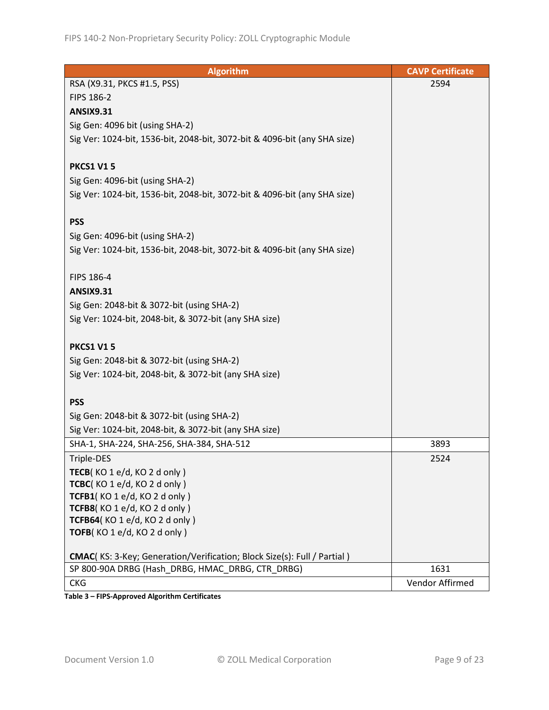| <b>Algorithm</b>                                                          | <b>CAVP Certificate</b> |
|---------------------------------------------------------------------------|-------------------------|
| RSA (X9.31, PKCS #1.5, PSS)                                               | 2594                    |
| <b>FIPS 186-2</b>                                                         |                         |
| <b>ANSIX9.31</b>                                                          |                         |
| Sig Gen: 4096 bit (using SHA-2)                                           |                         |
| Sig Ver: 1024-bit, 1536-bit, 2048-bit, 3072-bit & 4096-bit (any SHA size) |                         |
|                                                                           |                         |
| <b>PKCS1 V15</b>                                                          |                         |
| Sig Gen: 4096-bit (using SHA-2)                                           |                         |
| Sig Ver: 1024-bit, 1536-bit, 2048-bit, 3072-bit & 4096-bit (any SHA size) |                         |
|                                                                           |                         |
| <b>PSS</b>                                                                |                         |
| Sig Gen: 4096-bit (using SHA-2)                                           |                         |
| Sig Ver: 1024-bit, 1536-bit, 2048-bit, 3072-bit & 4096-bit (any SHA size) |                         |
|                                                                           |                         |
| FIPS 186-4                                                                |                         |
| <b>ANSIX9.31</b>                                                          |                         |
| Sig Gen: 2048-bit & 3072-bit (using SHA-2)                                |                         |
| Sig Ver: 1024-bit, 2048-bit, & 3072-bit (any SHA size)                    |                         |
|                                                                           |                         |
| <b>PKCS1 V15</b>                                                          |                         |
| Sig Gen: 2048-bit & 3072-bit (using SHA-2)                                |                         |
| Sig Ver: 1024-bit, 2048-bit, & 3072-bit (any SHA size)                    |                         |
|                                                                           |                         |
| <b>PSS</b>                                                                |                         |
| Sig Gen: 2048-bit & 3072-bit (using SHA-2)                                |                         |
| Sig Ver: 1024-bit, 2048-bit, & 3072-bit (any SHA size)                    |                         |
| SHA-1, SHA-224, SHA-256, SHA-384, SHA-512                                 | 3893                    |
| Triple-DES                                                                | 2524                    |
| TECB(KO 1 e/d, KO 2 d only)                                               |                         |
| TCBC(KO1e/d, KO2donly)                                                    |                         |
| TCFB1(KO1e/d, KO2d only)                                                  |                         |
| TCFB8(KO 1 e/d, KO 2 d only)                                              |                         |
| TCFB64(KO 1 e/d, KO 2 d only)                                             |                         |
| TOFB(KO1e/d, KO2donly)                                                    |                         |
| CMAC(KS: 3-Key; Generation/Verification; Block Size(s): Full / Partial)   |                         |
| SP 800-90A DRBG (Hash_DRBG, HMAC_DRBG, CTR_DRBG)                          | 1631                    |
| <b>CKG</b>                                                                | Vendor Affirmed         |
|                                                                           |                         |

**Table 3 – FIPS-Approved Algorithm Certificates**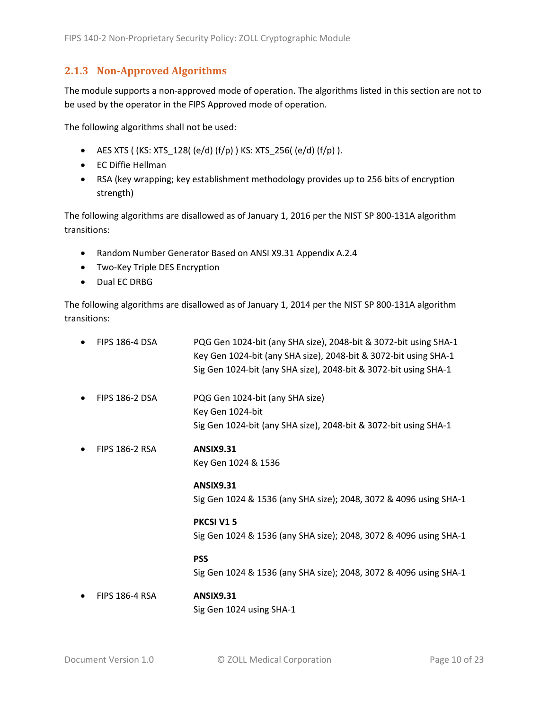### <span id="page-9-0"></span>**2.1.3 Non-Approved Algorithms**

The module supports a non-approved mode of operation. The algorithms listed in this section are not to be used by the operator in the FIPS Approved mode of operation.

The following algorithms shall not be used:

- AES XTS (  $(KS: XTS_128$  (  $(e/d)$   $(f/p)$  )  $KS: XTS_256$  (  $(e/d)$   $(f/p)$  ).
- EC Diffie Hellman
- RSA (key wrapping; key establishment methodology provides up to 256 bits of encryption strength)

The following algorithms are disallowed as of January 1, 2016 per the NIST SP 800-131A algorithm transitions:

- Random Number Generator Based on ANSI X9.31 Appendix A.2.4
- Two-Key Triple DES Encryption
- Dual EC DRBG

The following algorithms are disallowed as of January 1, 2014 per the NIST SP 800-131A algorithm transitions:

| <b>FIPS 186-4 DSA</b> | PQG Gen 1024-bit (any SHA size), 2048-bit & 3072-bit using SHA-1<br>Key Gen 1024-bit (any SHA size), 2048-bit & 3072-bit using SHA-1<br>Sig Gen 1024-bit (any SHA size), 2048-bit & 3072-bit using SHA-1 |
|-----------------------|----------------------------------------------------------------------------------------------------------------------------------------------------------------------------------------------------------|
| <b>FIPS 186-2 DSA</b> | PQG Gen 1024-bit (any SHA size)<br>Key Gen 1024-bit<br>Sig Gen 1024-bit (any SHA size), 2048-bit & 3072-bit using SHA-1                                                                                  |
| <b>FIPS 186-2 RSA</b> | <b>ANSIX9.31</b><br>Key Gen 1024 & 1536                                                                                                                                                                  |
|                       | <b>ANSIX9.31</b><br>Sig Gen 1024 & 1536 (any SHA size); 2048, 3072 & 4096 using SHA-1                                                                                                                    |
|                       | <b>PKCSI V15</b><br>Sig Gen 1024 & 1536 (any SHA size); 2048, 3072 & 4096 using SHA-1                                                                                                                    |
|                       | <b>PSS</b><br>Sig Gen 1024 & 1536 (any SHA size); 2048, 3072 & 4096 using SHA-1                                                                                                                          |
| <b>FIPS 186-4 RSA</b> | <b>ANSIX9.31</b>                                                                                                                                                                                         |

Sig Gen 1024 using SHA-1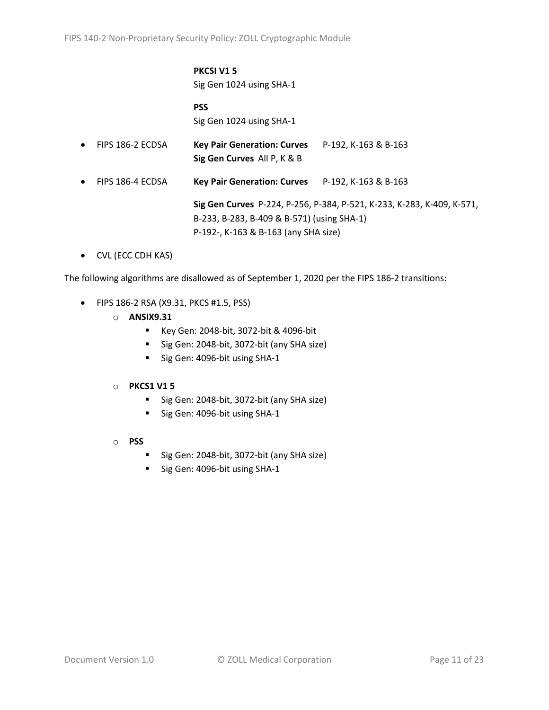# **PKCSI V1 5**

Sig Gen 1024 using SHA-1

### **PSS** Sig Gen 1024 using SHA-1

• FIPS 186-2 ECDSA **Key Pair Generation: Curves** P-192, K-163 & B-163 **Sig Gen Curves** All P, K & B • FIPS 186-4 ECDSA **Key Pair Generation: Curves** P-192, K-163 & B-163

> **Sig Gen Curves** P-224, P-256, P-384, P-521, K-233, K-283, K-409, K-571, B-233, B-283, B-409 & B-571) (using SHA-1) P-192-, K-163 & B-163 (any SHA size)

• CVL (ECC CDH KAS)

The following algorithms are disallowed as of September 1, 2020 per the FIPS 186-2 transitions:

- FIPS 186-2 RSA (X9.31, PKCS #1.5, PSS)
	- o **ANSIX9.31**
		- Key Gen: 2048-bit, 3072-bit & 4096-bit
		- Sig Gen: 2048-bit, 3072-bit (any SHA size)
		- Sig Gen: 4096-bit using SHA-1

#### o **PKCS1 V1 5**

- Sig Gen: 2048-bit, 3072-bit (any SHA size)
- Sig Gen: 4096-bit using SHA-1
- o **PSS**
	- Sig Gen: 2048-bit, 3072-bit (any SHA size)
	- Sig Gen: 4096-bit using SHA-1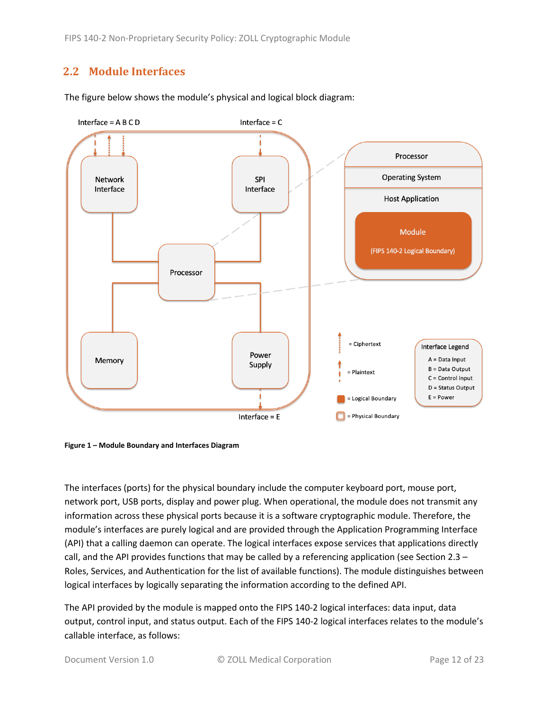FIPS 140-2 Non-Proprietary Security Policy: ZOLL Cryptographic Module

# <span id="page-11-0"></span>**2.2 Module Interfaces**





<span id="page-11-1"></span>**Figure 1 – Module Boundary and Interfaces Diagram**

The interfaces (ports) for the physical boundary include the computer keyboard port, mouse port, network port, USB ports, display and power plug. When operational, the module does not transmit any information across these physical ports because it is a software cryptographic module. Therefore, the module's interfaces are purely logical and are provided through the Application Programming Interface (API) that a calling daemon can operate. The logical interfaces expose services that applications directly call, and the API provides functions that may be called by a referencing application (see Sectio[n 2.3](#page-12-0) – [Roles, Services, and Authentication](#page-12-0) for the list of available functions). The module distinguishes between logical interfaces by logically separating the information according to the defined API.

The API provided by the module is mapped onto the FIPS 140-2 logical interfaces: data input, data output, control input, and status output. Each of the FIPS 140-2 logical interfaces relates to the module's callable interface, as follows: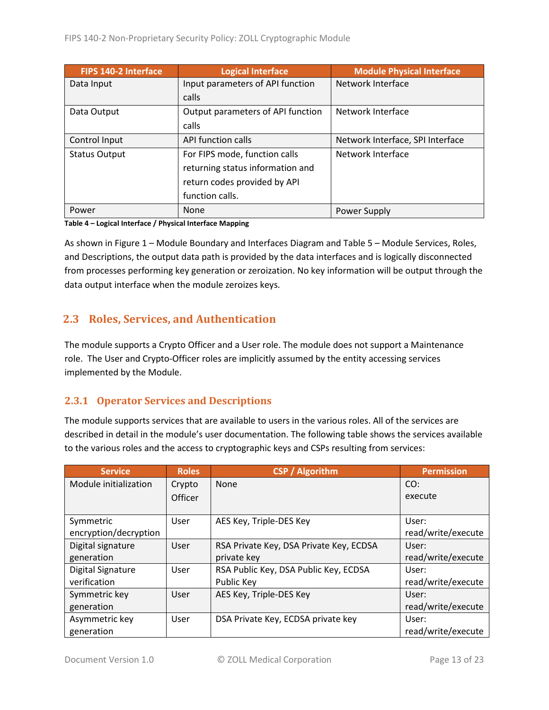| <b>FIPS 140-2 Interface</b> | <b>Logical Interface</b>          | <b>Module Physical Interface</b> |
|-----------------------------|-----------------------------------|----------------------------------|
| Data Input                  | Input parameters of API function  | Network Interface                |
|                             | calls                             |                                  |
| Data Output                 | Output parameters of API function | Network Interface                |
|                             | calls                             |                                  |
| Control Input               | API function calls                | Network Interface, SPI Interface |
| <b>Status Output</b>        | For FIPS mode, function calls     | Network Interface                |
|                             | returning status information and  |                                  |
|                             | return codes provided by API      |                                  |
|                             | function calls.                   |                                  |
| Power                       | <b>None</b>                       | Power Supply                     |

#### **Table 4 – Logical Interface / Physical Interface Mapping**

As shown in Figure 1 – [Module Boundary and Interfaces Diagram](#page-11-1) and Table 5 – Module [Services, Roles,](#page-13-3) [and Descriptions,](#page-13-3) the output data path is provided by the data interfaces and is logically disconnected from processes performing key generation or zeroization. No key information will be output through the data output interface when the module zeroizes keys.

# <span id="page-12-0"></span>**2.3 Roles, Services, and Authentication**

The module supports a Crypto Officer and a User role. The module does not support a Maintenance role. The User and Crypto-Officer roles are implicitly assumed by the entity accessing services implemented by the Module.

### <span id="page-12-1"></span>**2.3.1 Operator Services and Descriptions**

The module supports services that are available to users in the various roles. All of the services are described in detail in the module's user documentation. The following table shows the services available to the various roles and the access to cryptographic keys and CSPs resulting from services:

| <b>Service</b>                     | <b>Roles</b>   | <b>CSP</b> / Algorithm                  | <b>Permission</b>           |
|------------------------------------|----------------|-----------------------------------------|-----------------------------|
| Module initialization              | Crypto         | None                                    | CO:                         |
|                                    | <b>Officer</b> |                                         | execute                     |
| Symmetric<br>encryption/decryption | User           | AES Key, Triple-DES Key                 | User:<br>read/write/execute |
| Digital signature                  | User           | RSA Private Key, DSA Private Key, ECDSA | User:                       |
| generation                         |                | private key                             | read/write/execute          |
| <b>Digital Signature</b>           | User           | RSA Public Key, DSA Public Key, ECDSA   | User:                       |
| verification                       |                | Public Key                              | read/write/execute          |
| Symmetric key                      | User           | AES Key, Triple-DES Key                 | User:                       |
| generation                         |                |                                         | read/write/execute          |
| Asymmetric key                     | User           | DSA Private Key, ECDSA private key      | User:                       |
| generation                         |                |                                         | read/write/execute          |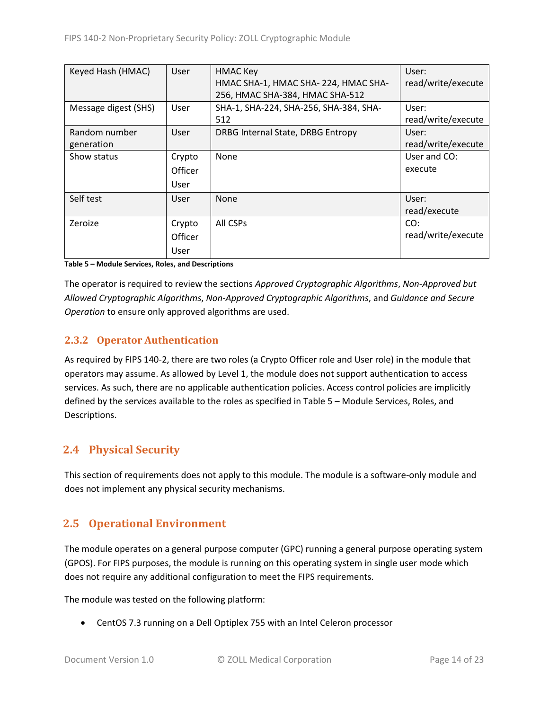| Keyed Hash (HMAC)    | User        | <b>HMAC Key</b>                        | User:              |
|----------------------|-------------|----------------------------------------|--------------------|
|                      |             | HMAC SHA-1, HMAC SHA-224, HMAC SHA-    | read/write/execute |
|                      |             | 256, HMAC SHA-384, HMAC SHA-512        |                    |
| Message digest (SHS) | <b>User</b> | SHA-1, SHA-224, SHA-256, SHA-384, SHA- | User:              |
|                      |             | 512                                    | read/write/execute |
| Random number        | User        | DRBG Internal State, DRBG Entropy      | User:              |
| generation           |             |                                        | read/write/execute |
| Show status          | Crypto      | None                                   | User and CO:       |
|                      | Officer     |                                        | execute            |
|                      | User        |                                        |                    |
| Self test            | User        | <b>None</b>                            | User:              |
|                      |             |                                        | read/execute       |
| Zeroize              | Crypto      | All CSPs                               | CO:                |
|                      | Officer     |                                        | read/write/execute |
|                      | User        |                                        |                    |

#### <span id="page-13-3"></span>**Table 5 – Module Services, Roles, and Descriptions**

The operator is required to review the sections *Approved Cryptographic Algorithms*, *Non-Approved but Allowed Cryptographic Algorithms*, *Non-Approved Cryptographic Algorithms*, and *Guidance and Secure Operation* to ensure only approved algorithms are used.

### <span id="page-13-0"></span>**2.3.2 Operator Authentication**

As required by FIPS 140-2, there are two roles (a Crypto Officer role and User role) in the module that operators may assume. As allowed by Level 1, the module does not support authentication to access services. As such, there are no applicable authentication policies. Access control policies are implicitly defined by the services available to the roles as specified in Table 5 – Module [Services, Roles,](#page-13-3) and [Descriptions.](#page-13-3)

## <span id="page-13-1"></span>**2.4 Physical Security**

This section of requirements does not apply to this module. The module is a software-only module and does not implement any physical security mechanisms.

## <span id="page-13-2"></span>**2.5 Operational Environment**

The module operates on a general purpose computer (GPC) running a general purpose operating system (GPOS). For FIPS purposes, the module is running on this operating system in single user mode which does not require any additional configuration to meet the FIPS requirements.

The module was tested on the following platform:

• CentOS 7.3 running on a Dell Optiplex 755 with an Intel Celeron processor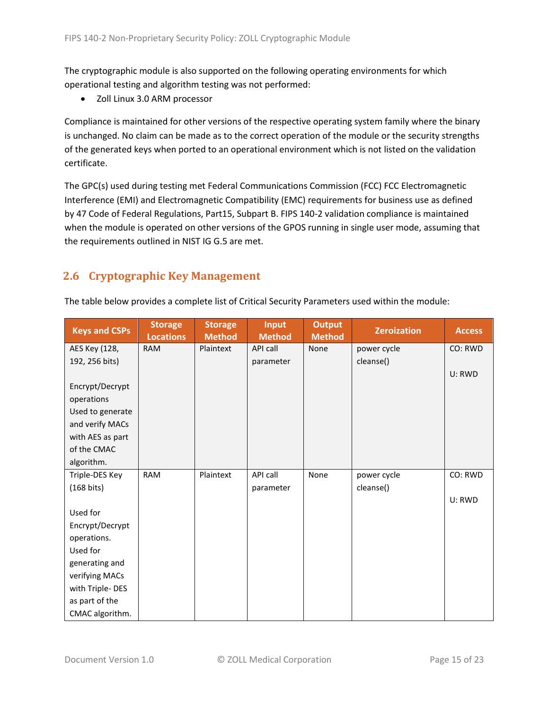The cryptographic module is also supported on the following operating environments for which operational testing and algorithm testing was not performed:

• Zoll Linux 3.0 ARM processor

Compliance is maintained for other versions of the respective operating system family where the binary is unchanged. No claim can be made as to the correct operation of the module or the security strengths of the generated keys when ported to an operational environment which is not listed on the validation certificate.

The GPC(s) used during testing met Federal Communications Commission (FCC) FCC Electromagnetic Interference (EMI) and Electromagnetic Compatibility (EMC) requirements for business use as defined by 47 Code of Federal Regulations, Part15, Subpart B. FIPS 140-2 validation compliance is maintained when the module is operated on other versions of the GPOS running in single user mode, assuming that the requirements outlined in NIST IG G.5 are met.

# <span id="page-14-0"></span>**2.6 Cryptographic Key Management**

| <b>Keys and CSPs</b> | <b>Storage</b><br><b>Locations</b> | <b>Storage</b><br><b>Method</b> | <b>Input</b><br><b>Method</b> | <b>Output</b><br><b>Method</b> | <b>Zeroization</b> | <b>Access</b> |
|----------------------|------------------------------------|---------------------------------|-------------------------------|--------------------------------|--------------------|---------------|
| AES Key (128,        | <b>RAM</b>                         | Plaintext                       | API call                      | None                           | power cycle        | CO: RWD       |
| 192, 256 bits)       |                                    |                                 | parameter                     |                                | cleanse()          |               |
|                      |                                    |                                 |                               |                                |                    | U: RWD        |
| Encrypt/Decrypt      |                                    |                                 |                               |                                |                    |               |
| operations           |                                    |                                 |                               |                                |                    |               |
| Used to generate     |                                    |                                 |                               |                                |                    |               |
| and verify MACs      |                                    |                                 |                               |                                |                    |               |
| with AES as part     |                                    |                                 |                               |                                |                    |               |
| of the CMAC          |                                    |                                 |                               |                                |                    |               |
| algorithm.           |                                    |                                 |                               |                                |                    |               |
| Triple-DES Key       | <b>RAM</b>                         | Plaintext                       | API call                      | None                           | power cycle        | CO: RWD       |
| $(168 \text{ bits})$ |                                    |                                 | parameter                     |                                | cleanse()          |               |
|                      |                                    |                                 |                               |                                |                    | U: RWD        |
| Used for             |                                    |                                 |                               |                                |                    |               |
| Encrypt/Decrypt      |                                    |                                 |                               |                                |                    |               |
| operations.          |                                    |                                 |                               |                                |                    |               |
| Used for             |                                    |                                 |                               |                                |                    |               |
| generating and       |                                    |                                 |                               |                                |                    |               |
| verifying MACs       |                                    |                                 |                               |                                |                    |               |
| with Triple-DES      |                                    |                                 |                               |                                |                    |               |
| as part of the       |                                    |                                 |                               |                                |                    |               |
| CMAC algorithm.      |                                    |                                 |                               |                                |                    |               |

The table below provides a complete list of Critical Security Parameters used within the module: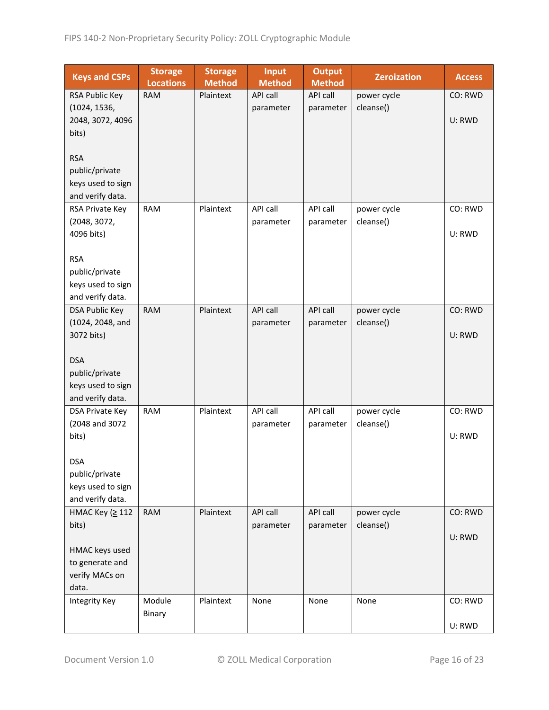| <b>Keys and CSPs</b>  | <b>Storage</b><br><b>Locations</b> | <b>Storage</b><br><b>Method</b> | <b>Input</b><br><b>Method</b> | <b>Output</b><br><b>Method</b> | <b>Zeroization</b> | <b>Access</b> |
|-----------------------|------------------------------------|---------------------------------|-------------------------------|--------------------------------|--------------------|---------------|
| RSA Public Key        | <b>RAM</b>                         | Plaintext                       | API call                      | API call                       | power cycle        | CO: RWD       |
| (1024, 1536,          |                                    |                                 | parameter                     | parameter                      | cleanse()          |               |
| 2048, 3072, 4096      |                                    |                                 |                               |                                |                    | U: RWD        |
| bits)                 |                                    |                                 |                               |                                |                    |               |
|                       |                                    |                                 |                               |                                |                    |               |
| <b>RSA</b>            |                                    |                                 |                               |                                |                    |               |
| public/private        |                                    |                                 |                               |                                |                    |               |
| keys used to sign     |                                    |                                 |                               |                                |                    |               |
| and verify data.      |                                    |                                 |                               |                                |                    |               |
| RSA Private Key       | <b>RAM</b>                         | Plaintext                       | API call                      | API call                       | power cycle        | CO: RWD       |
| (2048, 3072,          |                                    |                                 | parameter                     | parameter                      | cleanse()          |               |
| 4096 bits)            |                                    |                                 |                               |                                |                    | U: RWD        |
|                       |                                    |                                 |                               |                                |                    |               |
| <b>RSA</b>            |                                    |                                 |                               |                                |                    |               |
| public/private        |                                    |                                 |                               |                                |                    |               |
| keys used to sign     |                                    |                                 |                               |                                |                    |               |
| and verify data.      |                                    |                                 |                               |                                |                    |               |
| <b>DSA Public Key</b> | <b>RAM</b>                         | Plaintext                       | API call                      | API call                       | power cycle        | CO: RWD       |
| (1024, 2048, and      |                                    |                                 | parameter                     | parameter                      | cleanse()          |               |
| 3072 bits)            |                                    |                                 |                               |                                |                    | U: RWD        |
| <b>DSA</b>            |                                    |                                 |                               |                                |                    |               |
| public/private        |                                    |                                 |                               |                                |                    |               |
| keys used to sign     |                                    |                                 |                               |                                |                    |               |
| and verify data.      |                                    |                                 |                               |                                |                    |               |
| DSA Private Key       | <b>RAM</b>                         | Plaintext                       | API call                      | API call                       | power cycle        | CO: RWD       |
| (2048 and 3072        |                                    |                                 | parameter                     | parameter                      | cleanse()          |               |
| bits)                 |                                    |                                 |                               |                                |                    | U: RWD        |
|                       |                                    |                                 |                               |                                |                    |               |
| <b>DSA</b>            |                                    |                                 |                               |                                |                    |               |
| public/private        |                                    |                                 |                               |                                |                    |               |
| keys used to sign     |                                    |                                 |                               |                                |                    |               |
| and verify data.      |                                    |                                 |                               |                                |                    |               |
| HMAC Key (≥ 112       | <b>RAM</b>                         | Plaintext                       | API call                      | API call                       | power cycle        | CO: RWD       |
| bits)                 |                                    |                                 | parameter                     | parameter                      | cleanse()          |               |
|                       |                                    |                                 |                               |                                |                    | U: RWD        |
| HMAC keys used        |                                    |                                 |                               |                                |                    |               |
| to generate and       |                                    |                                 |                               |                                |                    |               |
| verify MACs on        |                                    |                                 |                               |                                |                    |               |
| data.                 |                                    |                                 |                               |                                |                    |               |
| <b>Integrity Key</b>  | Module                             | Plaintext                       | None                          | None                           | None               | CO: RWD       |
|                       | Binary                             |                                 |                               |                                |                    |               |
|                       |                                    |                                 |                               |                                |                    | U: RWD        |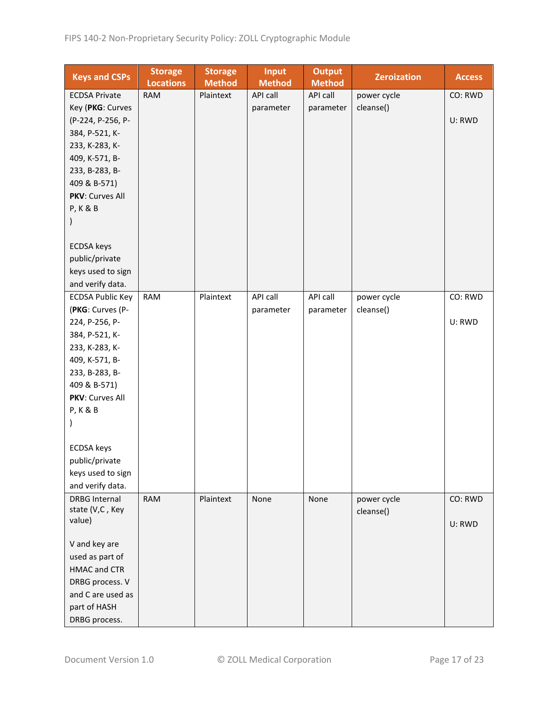| <b>Keys and CSPs</b>             | <b>Storage</b><br><b>Locations</b> | <b>Storage</b><br><b>Method</b> | <b>Input</b><br><b>Method</b> | <b>Output</b><br><b>Method</b> | <b>Zeroization</b> | <b>Access</b> |
|----------------------------------|------------------------------------|---------------------------------|-------------------------------|--------------------------------|--------------------|---------------|
| <b>ECDSA Private</b>             | <b>RAM</b>                         | Plaintext                       | API call                      | API call                       | power cycle        | CO: RWD       |
| Key (PKG: Curves                 |                                    |                                 | parameter                     | parameter                      | cleanse()          |               |
| (P-224, P-256, P-                |                                    |                                 |                               |                                |                    | U: RWD        |
| 384, P-521, K-                   |                                    |                                 |                               |                                |                    |               |
| 233, K-283, K-                   |                                    |                                 |                               |                                |                    |               |
| 409, K-571, B-                   |                                    |                                 |                               |                                |                    |               |
| 233, B-283, B-                   |                                    |                                 |                               |                                |                    |               |
| 409 & B-571)                     |                                    |                                 |                               |                                |                    |               |
| PKV: Curves All                  |                                    |                                 |                               |                                |                    |               |
| <b>P, K &amp; B</b>              |                                    |                                 |                               |                                |                    |               |
|                                  |                                    |                                 |                               |                                |                    |               |
|                                  |                                    |                                 |                               |                                |                    |               |
| <b>ECDSA</b> keys                |                                    |                                 |                               |                                |                    |               |
| public/private                   |                                    |                                 |                               |                                |                    |               |
| keys used to sign                |                                    |                                 |                               |                                |                    |               |
| and verify data.                 |                                    |                                 |                               |                                |                    |               |
|                                  |                                    |                                 | API call                      | API call                       |                    | CO: RWD       |
| <b>ECDSA Public Key</b>          | RAM                                | Plaintext                       |                               |                                | power cycle        |               |
| (PKG: Curves (P-                 |                                    |                                 | parameter                     | parameter                      | cleanse()          |               |
| 224, P-256, P-                   |                                    |                                 |                               |                                |                    | U: RWD        |
| 384, P-521, K-                   |                                    |                                 |                               |                                |                    |               |
| 233, K-283, K-                   |                                    |                                 |                               |                                |                    |               |
| 409, K-571, B-                   |                                    |                                 |                               |                                |                    |               |
| 233, B-283, B-                   |                                    |                                 |                               |                                |                    |               |
| 409 & B-571)                     |                                    |                                 |                               |                                |                    |               |
| PKV: Curves All                  |                                    |                                 |                               |                                |                    |               |
| <b>P, K &amp; B</b>              |                                    |                                 |                               |                                |                    |               |
|                                  |                                    |                                 |                               |                                |                    |               |
|                                  |                                    |                                 |                               |                                |                    |               |
| <b>ECDSA</b> keys                |                                    |                                 |                               |                                |                    |               |
| public/private                   |                                    |                                 |                               |                                |                    |               |
| keys used to sign                |                                    |                                 |                               |                                |                    |               |
| and verify data.                 |                                    |                                 |                               |                                |                    |               |
| <b>DRBG Internal</b>             | <b>RAM</b>                         | Plaintext                       | None                          | None                           | power cycle        | CO: RWD       |
| state (V,C, Key                  |                                    |                                 |                               |                                | cleanse()          |               |
| value)                           |                                    |                                 |                               |                                |                    | U: RWD        |
|                                  |                                    |                                 |                               |                                |                    |               |
| V and key are<br>used as part of |                                    |                                 |                               |                                |                    |               |
|                                  |                                    |                                 |                               |                                |                    |               |
| HMAC and CTR                     |                                    |                                 |                               |                                |                    |               |
| DRBG process. V                  |                                    |                                 |                               |                                |                    |               |
| and C are used as                |                                    |                                 |                               |                                |                    |               |
| part of HASH                     |                                    |                                 |                               |                                |                    |               |
| DRBG process.                    |                                    |                                 |                               |                                |                    |               |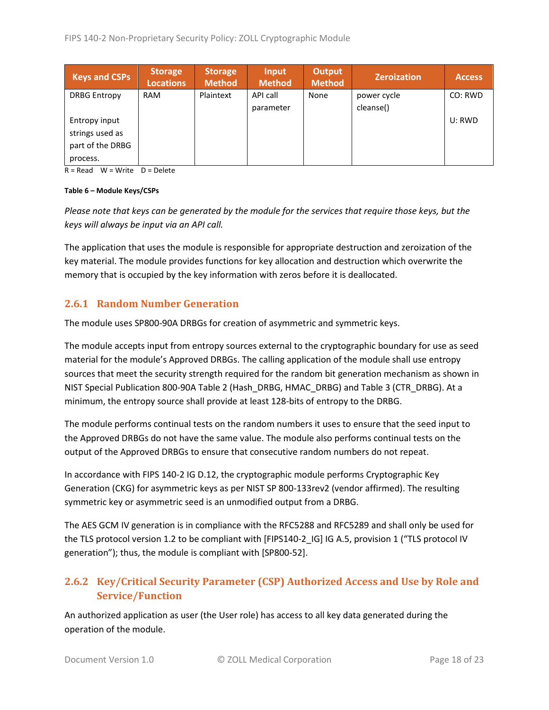| <b>Keys and CSPs</b> | <b>Storage</b><br><b>Locations</b> | <b>Storage</b><br>Method | Input<br><b>Method</b> | <b>Output</b><br><b>Method</b> | <b>Zeroization</b> | <b>Access</b> |
|----------------------|------------------------------------|--------------------------|------------------------|--------------------------------|--------------------|---------------|
| <b>DRBG Entropy</b>  | <b>RAM</b>                         | Plaintext                | API call               | None                           | power cycle        | CO: RWD       |
|                      |                                    |                          | parameter              |                                | cleanse()          |               |
| Entropy input        |                                    |                          |                        |                                |                    | U: RWD        |
| strings used as      |                                    |                          |                        |                                |                    |               |
| part of the DRBG     |                                    |                          |                        |                                |                    |               |
| process.             |                                    |                          |                        |                                |                    |               |

 $R = Read$  W = Write D = Delete

#### **Table 6 – Module Keys/CSPs**

*Please note that keys can be generated by the module for the services that require those keys, but the keys will always be input via an API call.*

The application that uses the module is responsible for appropriate destruction and zeroization of the key material. The module provides functions for key allocation and destruction which overwrite the memory that is occupied by the key information with zeros before it is deallocated.

### <span id="page-17-0"></span>**2.6.1 Random Number Generation**

The module uses SP800-90A DRBGs for creation of asymmetric and symmetric keys.

The module accepts input from entropy sources external to the cryptographic boundary for use as seed material for the module's Approved DRBGs. The calling application of the module shall use entropy sources that meet the security strength required for the random bit generation mechanism as shown in NIST Special Publication 800-90A Table 2 (Hash\_DRBG, HMAC\_DRBG) and Table 3 (CTR\_DRBG). At a minimum, the entropy source shall provide at least 128-bits of entropy to the DRBG.

The module performs continual tests on the random numbers it uses to ensure that the seed input to the Approved DRBGs do not have the same value. The module also performs continual tests on the output of the Approved DRBGs to ensure that consecutive random numbers do not repeat.

In accordance with FIPS 140-2 IG D.12, the cryptographic module performs Cryptographic Key Generation (CKG) for asymmetric keys as per NIST SP 800-133rev2 (vendor affirmed). The resulting symmetric key or asymmetric seed is an unmodified output from a DRBG.

The AES GCM IV generation is in compliance with the RFC5288 and RFC5289 and shall only be used for the TLS protocol version 1.2 to be compliant with [FIPS140-2 IG] IG A.5, provision 1 ("TLS protocol IV generation"); thus, the module is compliant with [SP800-52].

# <span id="page-17-1"></span>**2.6.2 Key/Critical Security Parameter (CSP) Authorized Access and Use by Role and Service/Function**

An authorized application as user (the User role) has access to all key data generated during the operation of the module.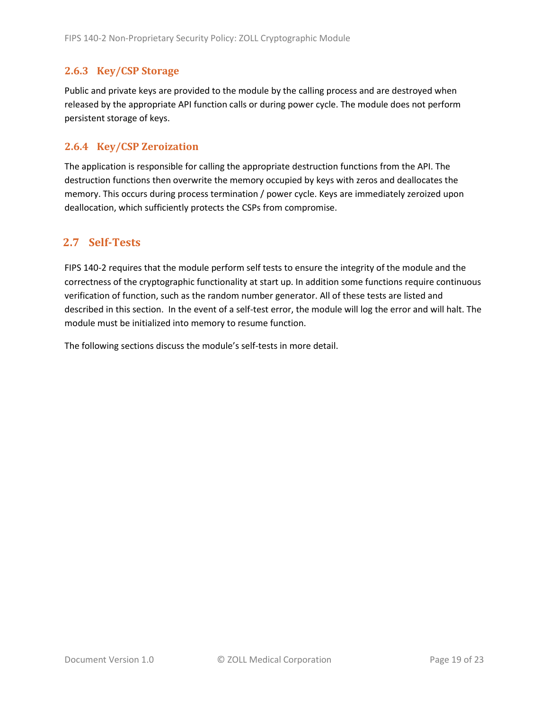### <span id="page-18-0"></span>**2.6.3 Key/CSP Storage**

Public and private keys are provided to the module by the calling process and are destroyed when released by the appropriate API function calls or during power cycle. The module does not perform persistent storage of keys.

### <span id="page-18-1"></span>**2.6.4 Key/CSP Zeroization**

The application is responsible for calling the appropriate destruction functions from the API. The destruction functions then overwrite the memory occupied by keys with zeros and deallocates the memory. This occurs during process termination / power cycle. Keys are immediately zeroized upon deallocation, which sufficiently protects the CSPs from compromise.

### <span id="page-18-2"></span>**2.7 Self-Tests**

FIPS 140-2 requires that the module perform self tests to ensure the integrity of the module and the correctness of the cryptographic functionality at start up. In addition some functions require continuous verification of function, such as the random number generator. All of these tests are listed and described in this section. In the event of a self-test error, the module will log the error and will halt. The module must be initialized into memory to resume function.

The following sections discuss the module's self-tests in more detail.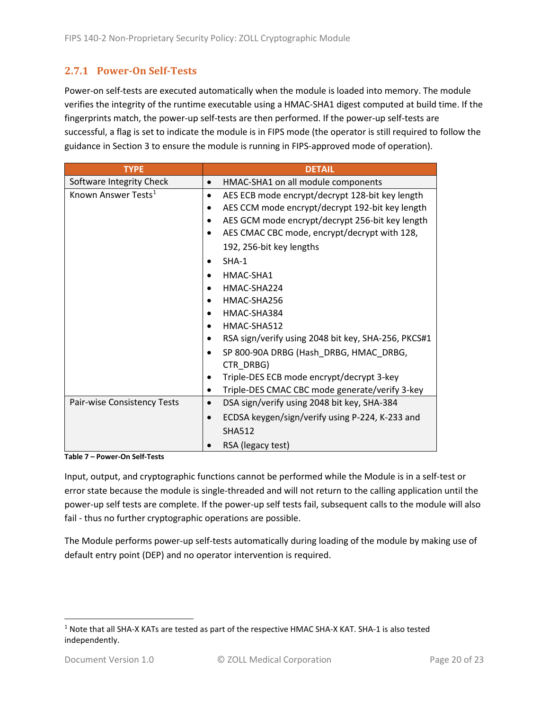### <span id="page-19-0"></span>**2.7.1 Power-On Self-Tests**

Power-on self-tests are executed automatically when the module is loaded into memory. The module verifies the integrity of the runtime executable using a HMAC-SHA1 digest computed at build time. If the fingerprints match, the power-up self-tests are then performed. If the power-up self-tests are successful, a flag is set to indicate the module is in FIPS mode (the operator is still required to follow the guidance in Section 3 to ensure the module is running in FIPS-approved mode of operation).

| <b>TYPE</b>                     | <b>DETAIL</b>                                                |  |  |  |  |
|---------------------------------|--------------------------------------------------------------|--|--|--|--|
| Software Integrity Check        | HMAC-SHA1 on all module components                           |  |  |  |  |
| Known Answer Tests <sup>1</sup> | AES ECB mode encrypt/decrypt 128-bit key length<br>$\bullet$ |  |  |  |  |
|                                 | AES CCM mode encrypt/decrypt 192-bit key length              |  |  |  |  |
|                                 | AES GCM mode encrypt/decrypt 256-bit key length              |  |  |  |  |
|                                 | AES CMAC CBC mode, encrypt/decrypt with 128,                 |  |  |  |  |
|                                 | 192, 256-bit key lengths                                     |  |  |  |  |
|                                 | $SHA-1$                                                      |  |  |  |  |
|                                 | HMAC-SHA1                                                    |  |  |  |  |
|                                 | HMAC-SHA224                                                  |  |  |  |  |
|                                 | HMAC-SHA256                                                  |  |  |  |  |
|                                 | HMAC-SHA384                                                  |  |  |  |  |
|                                 | HMAC-SHA512                                                  |  |  |  |  |
|                                 | RSA sign/verify using 2048 bit key, SHA-256, PKCS#1          |  |  |  |  |
|                                 | SP 800-90A DRBG (Hash DRBG, HMAC DRBG,<br>CTR DRBG)          |  |  |  |  |
|                                 | Triple-DES ECB mode encrypt/decrypt 3-key                    |  |  |  |  |
|                                 | Triple-DES CMAC CBC mode generate/verify 3-key<br>٠          |  |  |  |  |
| Pair-wise Consistency Tests     | DSA sign/verify using 2048 bit key, SHA-384<br>$\bullet$     |  |  |  |  |
|                                 | ECDSA keygen/sign/verify using P-224, K-233 and              |  |  |  |  |
|                                 | <b>SHA512</b>                                                |  |  |  |  |
|                                 | RSA (legacy test)                                            |  |  |  |  |

**Table 7 – Power-On Self-Tests**

Input, output, and cryptographic functions cannot be performed while the Module is in a self-test or error state because the module is single-threaded and will not return to the calling application until the power-up self tests are complete. If the power-up self tests fail, subsequent calls to the module will also fail - thus no further cryptographic operations are possible.

The Module performs power-up self-tests automatically during loading of the module by making use of default entry point (DEP) and no operator intervention is required.

<span id="page-19-1"></span><sup>1</sup> Note that all SHA-X KATs are tested as part of the respective HMAC SHA-X KAT. SHA-1 is also tested independently.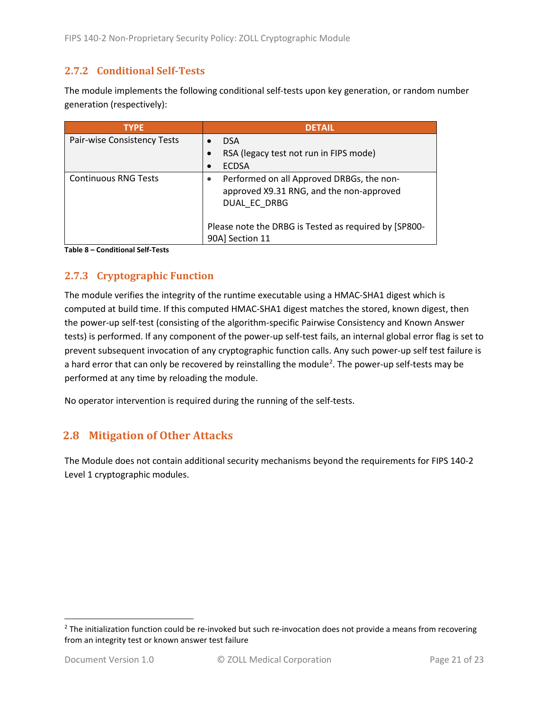### <span id="page-20-0"></span>**2.7.2 Conditional Self-Tests**

The module implements the following conditional self-tests upon key generation, or random number generation (respectively):

| <b>TYPE</b>                 | <b>DETAIL</b>                                                                                         |
|-----------------------------|-------------------------------------------------------------------------------------------------------|
| Pair-wise Consistency Tests | <b>DSA</b>                                                                                            |
|                             | RSA (legacy test not run in FIPS mode)                                                                |
|                             | <b>ECDSA</b>                                                                                          |
| <b>Continuous RNG Tests</b> | Performed on all Approved DRBGs, the non-<br>approved X9.31 RNG, and the non-approved<br>DUAL EC DRBG |
|                             | Please note the DRBG is Tested as required by [SP800-<br>90A] Section 11                              |

**Table 8 – Conditional Self-Tests**

## <span id="page-20-1"></span>**2.7.3 Cryptographic Function**

The module verifies the integrity of the runtime executable using a HMAC-SHA1 digest which is computed at build time. If this computed HMAC-SHA1 digest matches the stored, known digest, then the power-up self-test (consisting of the algorithm-specific Pairwise Consistency and Known Answer tests) is performed. If any component of the power-up self-test fails, an internal global error flag is set to prevent subsequent invocation of any cryptographic function calls. Any such power-up self test failure is a hard error that can only be recovered by reinstalling the module<sup>[2](#page-20-3)</sup>. The power-up self-tests may be performed at any time by reloading the module.

No operator intervention is required during the running of the self-tests.

## <span id="page-20-2"></span>**2.8 Mitigation of Other Attacks**

The Module does not contain additional security mechanisms beyond the requirements for FIPS 140-2 Level 1 cryptographic modules.

<span id="page-20-3"></span> $2$  The initialization function could be re-invoked but such re-invocation does not provide a means from recovering from an integrity test or known answer test failure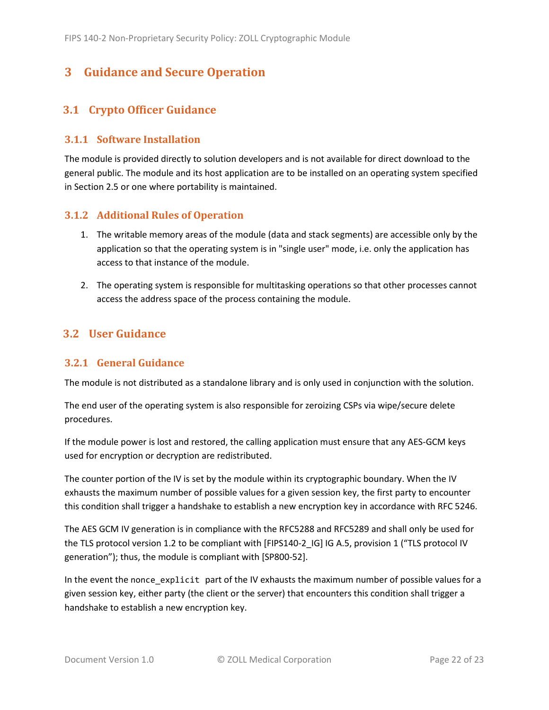# <span id="page-21-0"></span>**3 Guidance and Secure Operation**

## <span id="page-21-1"></span>**3.1 Crypto Officer Guidance**

### <span id="page-21-2"></span>**3.1.1 Software Installation**

The module is provided directly to solution developers and is not available for direct download to the general public. The module and its host application are to be installed on an operating system specified in Section [2.5](#page-13-2) or one where portability is maintained.

### <span id="page-21-3"></span>**3.1.2 Additional Rules of Operation**

- 1. The writable memory areas of the module (data and stack segments) are accessible only by the application so that the operating system is in "single user" mode, i.e. only the application has access to that instance of the module.
- 2. The operating system is responsible for multitasking operations so that other processes cannot access the address space of the process containing the module.

## <span id="page-21-4"></span>**3.2 User Guidance**

### <span id="page-21-5"></span>**3.2.1 General Guidance**

The module is not distributed as a standalone library and is only used in conjunction with the solution.

The end user of the operating system is also responsible for zeroizing CSPs via wipe/secure delete procedures.

If the module power is lost and restored, the calling application must ensure that any AES-GCM keys used for encryption or decryption are redistributed.

The counter portion of the IV is set by the module within its cryptographic boundary. When the IV exhausts the maximum number of possible values for a given session key, the first party to encounter this condition shall trigger a handshake to establish a new encryption key in accordance with RFC 5246.

The AES GCM IV generation is in compliance with the RFC5288 and RFC5289 and shall only be used for the TLS protocol version 1.2 to be compliant with [FIPS140-2 IG] IG A.5, provision 1 ("TLS protocol IV generation"); thus, the module is compliant with [SP800-52].

In the event the nonce\_explicit part of the IV exhausts the maximum number of possible values for a given session key, either party (the client or the server) that encounters this condition shall trigger a handshake to establish a new encryption key.